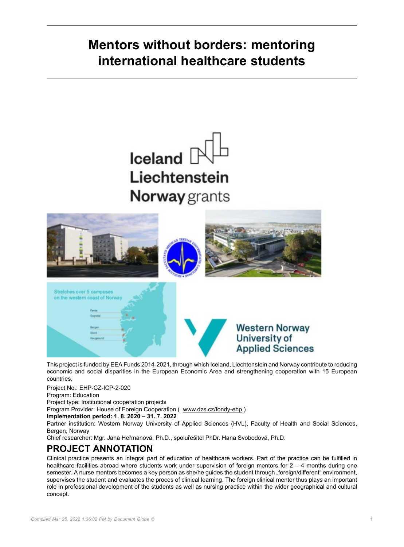# **Mentors without borders: mentoring international healthcare students**

# $I$ celand  $[$ Liechtenstein Norway grants



This project is funded by EEA Funds 2014-2021, through which Iceland, Liechtenstein and Norway contribute to reducing economic and social disparities in the European Economic Area and strengthening cooperation with 15 European countries.

Project No.: EHP-CZ-ICP-2-020

Program: Education

Project type: Institutional cooperation projects

Program Provider: House of Foreign Cooperation ( [www.dzs.cz/fondy-ehp](http://www.dzs.cz/fondy-ehp) )

**Implementation period: 1. 8. 2020 – 31. 7. 2022**

Partner institution: Western Norway University of Applied Sciences (HVL), Faculty of Health and Social Sciences, Bergen, Norway

Chief researcher: Mgr. Jana Heřmanová, Ph.D., spoluřešitel PhDr. Hana Svobodová, Ph.D.

## **PROJECT ANNOTATION**

Clinical practice presents an integral part of education of healthcare workers. Part of the practice can be fulfilled in healthcare facilities abroad where students work under supervision of foreign mentors for 2 – 4 months during one semester. A nurse mentors becomes a key person as she/he guides the student through "foreign/different" environment, supervises the student and evaluates the proces of clinical learning. The foreign clinical mentor thus plays an important role in professional development of the students as well as nursing practice within the wider geographical and cultural concept.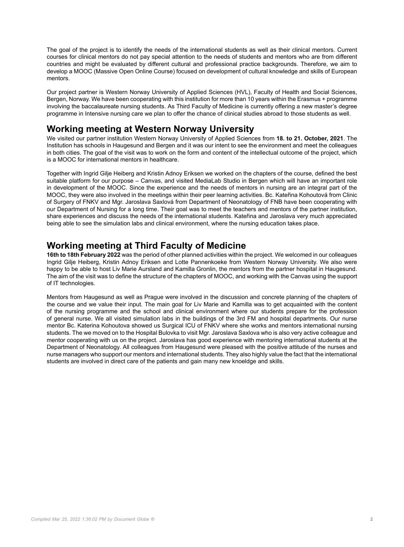The goal of the project is to identify the needs of the international students as well as their clinical mentors. Current courses for clinical mentors do not pay special attention to the needs of students and mentors who are from different countries and might be evaluated by different cultural and professional practice backgrounds. Therefore, we aim to develop a MOOC (Massive Open Online Course) focused on development of cultural knowledge and skills of European mentors.

Our project partner is Western Norway University of Applied Sciences (HVL), Faculty of Health and Social Sciences, Bergen, Norway. We have been cooperating with this institution for more than 10 years within the Erasmus + programme involving the baccalaureate nursing students. As Third Faculty of Medicine is currently offering a new master's degree programme in Intensive nursing care we plan to offer the chance of clinical studies abroad to those students as well.

### **Working meeting at Western Norway University**

We visited our partner institution Western Norway University of Applied Sciences from **18. to 21. October, 2021**. The Institution has schools in Haugesund and Bergen and it was our intent to see the environment and meet the colleagues in both cities. The goal of the visit was to work on the form and content of the intellectual outcome of the project, which is a MOOC for international mentors in healthcare.

Together with Ingrid Gilje Heiberg and Kristin Adnoy Eriksen we worked on the chapters of the course, defined the best suitable platform for our purpose – Canvas, and visited MediaLab Studio in Bergen which will have an important role in development of the MOOC. Since the experience and the needs of mentors in nursing are an integral part of the MOOC, they were also involved in the meetings within their peer learning activities. Bc. Kateřina Kohoutová from Clinic of Surgery of FNKV and Mgr. Jaroslava Saxlová from Department of Neonatology of FNB have been cooperating with our Department of Nursing for a long time. Their goal was to meet the teachers and mentors of the partner institution, share experiences and discuss the needs of the international students. Kateřina and Jaroslava very much appreciated being able to see the simulation labs and clinical environment, where the nursing education takes place.

#### **Working meeting at Third Faculty of Medicine**

**16th to 18th February 2022** was the period of other planned activities within the project. We welcomed in our colleagues Ingrid Gilje Heiberg, Kristin Adnoy Eriksen and Lotte Pannenkoeke from Western Norway University. We also were happy to be able to host Liv Marie Aursland and Kamilla Gronlin, the mentors from the partner hospital in Haugesund. The aim of the visit was to define the structure of the chapters of MOOC, and working with the Canvas using the support of IT technologies.

Mentors from Haugesund as well as Prague were involved in the discussion and concrete planning of the chapters of the course and we value their input. The main goal for Liv Marie and Kamilla was to get acquainted with the content of the nursing programme and the school and clinical environment where our students prepare for the profession of general nurse. We all visited simulation labs in the buildings of the 3rd FM and hospital departments. Our nurse mentor Bc. Katerina Kohoutova showed us Surgical ICU of FNKV where she works and mentors international nursing students. The we moved on to the Hospital Bulovka to visit Mgr. Jaroslava Saxlova who is also very active colleague and mentor cooperating with us on the project. Jaroslava has good experience with mentoring international students at the Department of Neonatology. All colleagues from Haugesund were pleased with the positive attitude of the nurses and nurse managers who support our mentors and international students. They also highly value the fact that the international students are involved in direct care of the patients and gain many new knoeldge and skills.